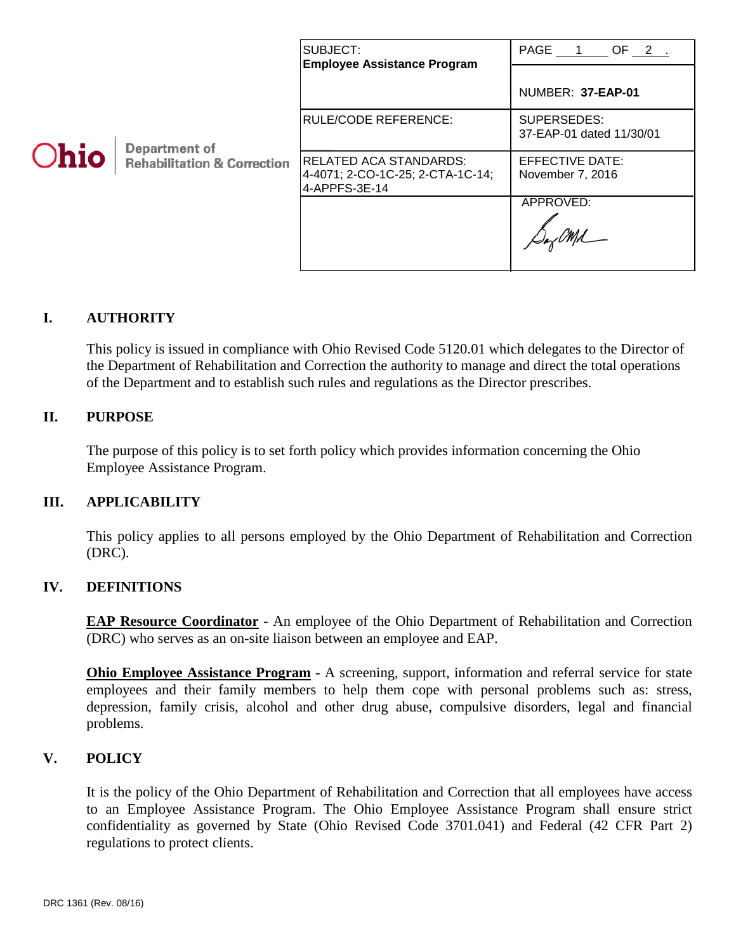|      |                                                         | SUBJECT:<br><b>Employee Assistance Program</b>                              | PAGE 1 OF 2.                            |
|------|---------------------------------------------------------|-----------------------------------------------------------------------------|-----------------------------------------|
| Ohio | Department of<br><b>Rehabilitation &amp; Correction</b> |                                                                             | NUMBER: 37-EAP-01                       |
|      |                                                         | <b>RULE/CODE REFERENCE:</b>                                                 | SUPERSEDES:<br>37-EAP-01 dated 11/30/01 |
|      |                                                         | RELATED ACA STANDARDS:<br>4-4071; 2-CO-1C-25; 2-CTA-1C-14;<br>4-APPFS-3E-14 | EFFECTIVE DATE:<br>November 7, 2016     |
|      |                                                         |                                                                             | APPROVED:                               |

# **I. AUTHORITY**

This policy is issued in compliance with Ohio Revised Code 5120.01 which delegates to the Director of the Department of Rehabilitation and Correction the authority to manage and direct the total operations of the Department and to establish such rules and regulations as the Director prescribes.

# **II. PURPOSE**

The purpose of this policy is to set forth policy which provides information concerning the Ohio Employee Assistance Program.

### **III. APPLICABILITY**

This policy applies to all persons employed by the Ohio Department of Rehabilitation and Correction (DRC).

### **IV. DEFINITIONS**

**EAP Resource Coordinator -** An employee of the Ohio Department of Rehabilitation and Correction (DRC) who serves as an on-site liaison between an employee and EAP.

**Ohio Employee Assistance Program** - A screening, support, information and referral service for state employees and their family members to help them cope with personal problems such as: stress, depression, family crisis, alcohol and other drug abuse, compulsive disorders, legal and financial problems.

### **V. POLICY**

It is the policy of the Ohio Department of Rehabilitation and Correction that all employees have access to an Employee Assistance Program. The Ohio Employee Assistance Program shall ensure strict confidentiality as governed by State (Ohio Revised Code 3701.041) and Federal (42 CFR Part 2) regulations to protect clients.